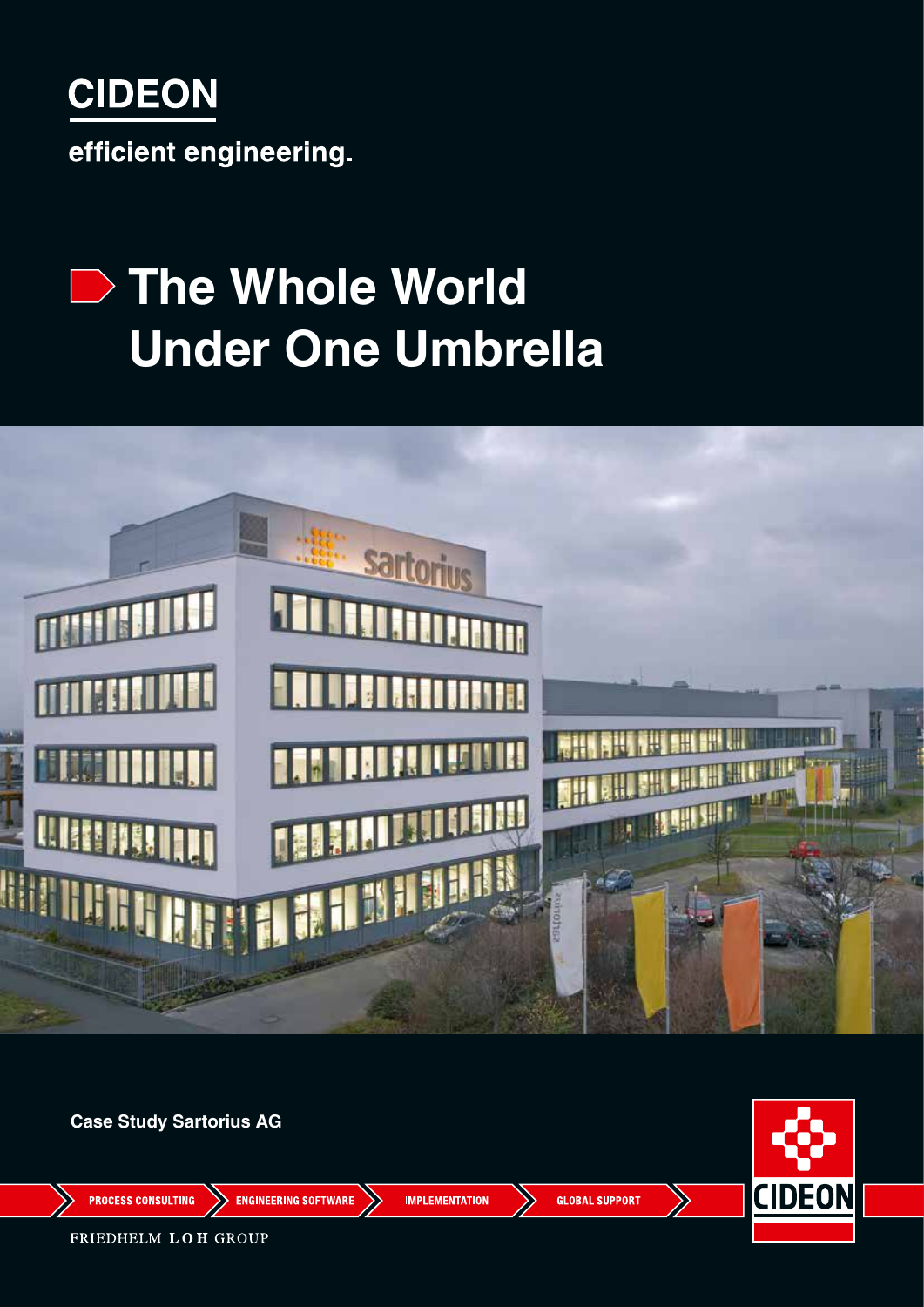

# **The Whole World Under One Umbrella**



**Case Study Sartorius AG**

**CIDEON** 

**PROCESS CONSULTING** 

**ENGINEERING SOFTWARE** 

**IMPLEMENTATION** 

**GLOBAL SUPPORT** 

FRIEDHELM LOH GROUP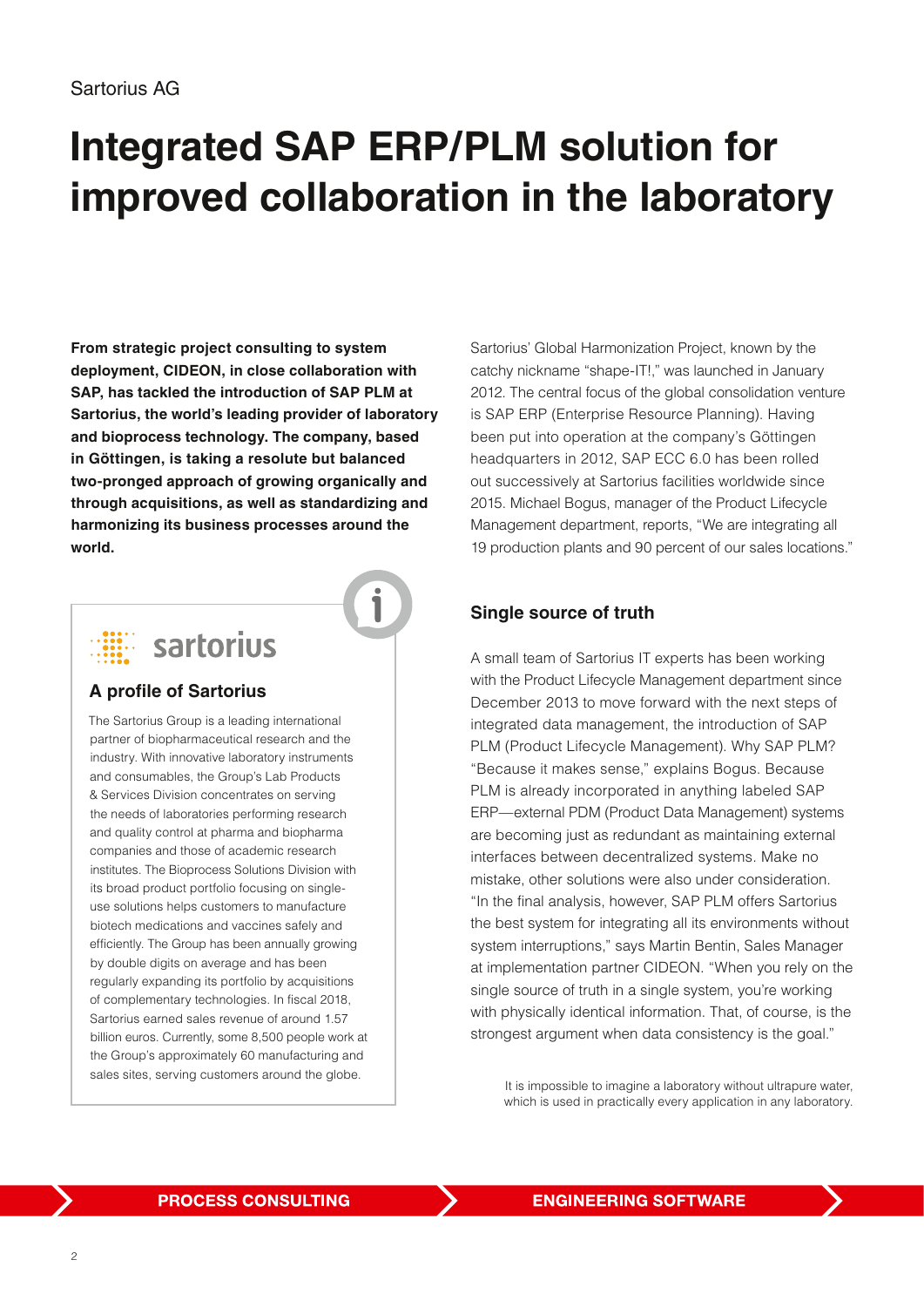### **Integrated SAP ERP/PLM solution for improved collaboration in the laboratory**

**From strategic project consulting to system deployment, CIDEON, in close collaboration with SAP, has tackled the introduction of SAP PLM at Sartorius, the world's leading provider of laboratory and bioprocess technology. The company, based in Göttingen, is taking a resolute but balanced two-pronged approach of growing organically and through acquisitions, as well as standardizing and harmonizing its business processes around the world.**



#### **A profile of Sartorius**

The Sartorius Group is a leading international partner of biopharmaceutical research and the industry. With innovative laboratory instruments and consumables, the Group's Lab Products & Services Division concentrates on serving the needs of laboratories performing research and quality control at pharma and biopharma companies and those of academic research institutes. The Bioprocess Solutions Division with its broad product portfolio focusing on singleuse solutions helps customers to manufacture biotech medications and vaccines safely and efficiently. The Group has been annually growing by double digits on average and has been regularly expanding its portfolio by acquisitions of complementary technologies. In fiscal 2018, Sartorius earned sales revenue of around 1.57 billion euros. Currently, some 8,500 people work at the Group's approximately 60 manufacturing and

Sartorius' Global Harmonization Project, known by the catchy nickname "shape-IT!," was launched in January 2012. The central focus of the global consolidation venture is SAP ERP (Enterprise Resource Planning). Having been put into operation at the company's Göttingen headquarters in 2012, SAP ECC 6.0 has been rolled out successively at Sartorius facilities worldwide since 2015. Michael Bogus, manager of the Product Lifecycle Management department, reports, "We are integrating all 19 production plants and 90 percent of our sales locations."

#### **Single source of truth**

A small team of Sartorius IT experts has been working with the Product Lifecycle Management department since December 2013 to move forward with the next steps of integrated data management, the introduction of SAP PLM (Product Lifecycle Management). Why SAP PLM? "Because it makes sense," explains Bogus. Because PLM is already incorporated in anything labeled SAP ERP—external PDM (Product Data Management) systems are becoming just as redundant as maintaining external interfaces between decentralized systems. Make no mistake, other solutions were also under consideration. "In the final analysis, however, SAP PLM offers Sartorius the best system for integrating all its environments without system interruptions," says Martin Bentin, Sales Manager at implementation partner CIDEON. "When you rely on the single source of truth in a single system, you're working with physically identical information. That, of course, is the strongest argument when data consistency is the goal."

sales sites, serving customers around the globe.<br>It is impossible to imagine a laboratory without ultrapure water, which is used in practically every application in any laboratory.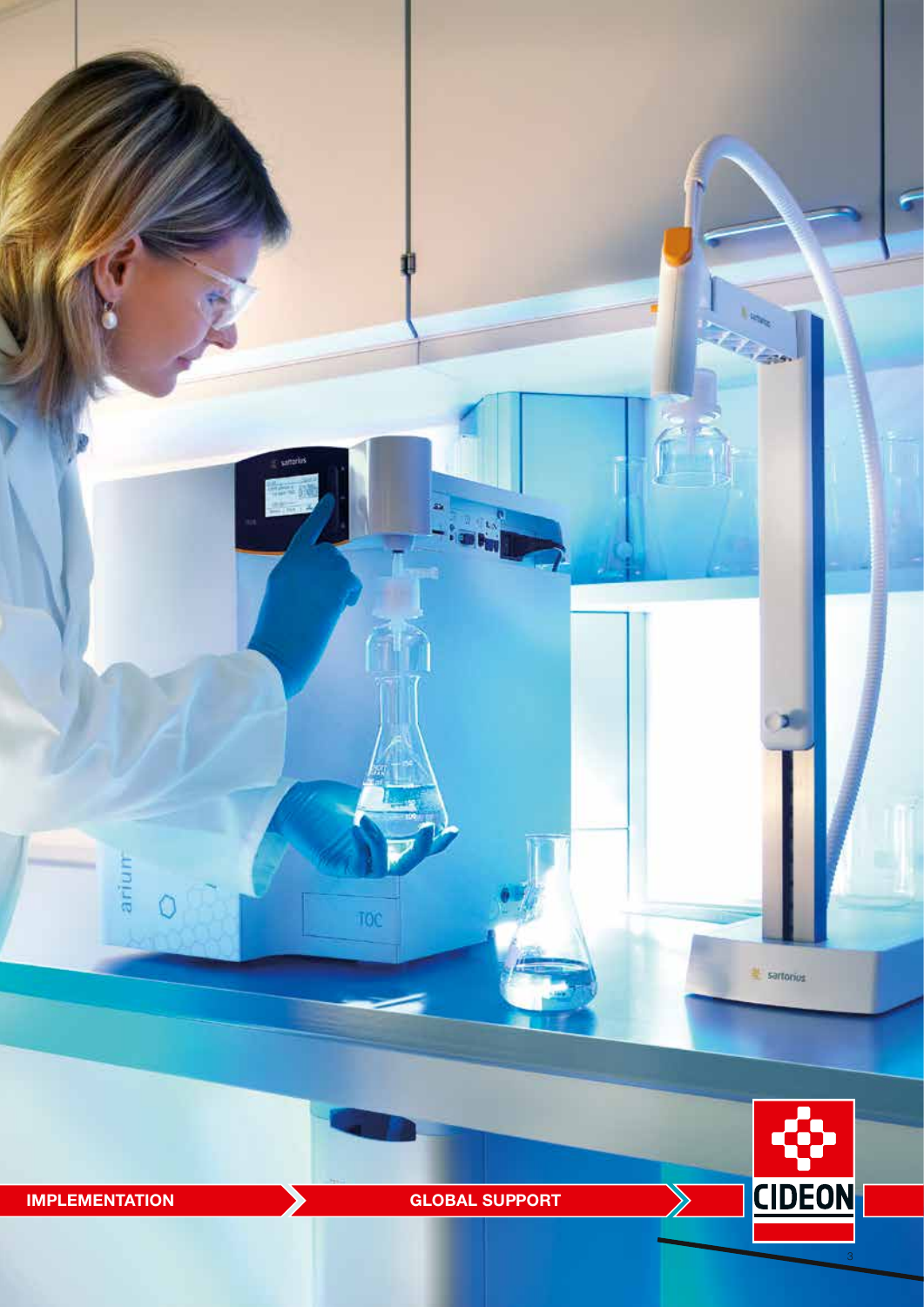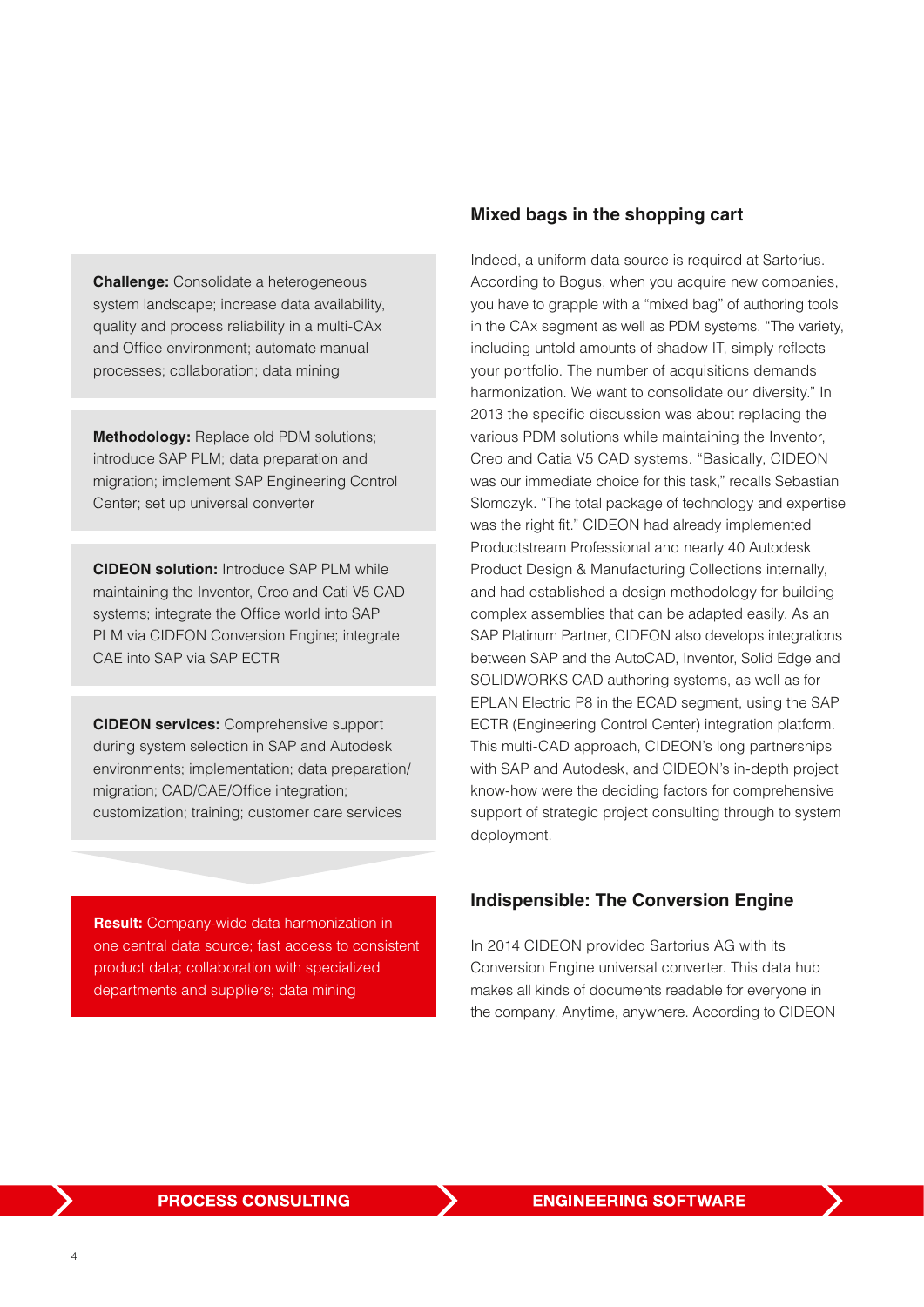**Challenge:** Consolidate a heterogeneous system landscape; increase data availability, quality and process reliability in a multi-CAx and Office environment; automate manual processes; collaboration; data mining

**Methodology:** Replace old PDM solutions; introduce SAP PLM; data preparation and migration; implement SAP Engineering Control Center; set up universal converter

**CIDEON solution:** Introduce SAP PLM while maintaining the Inventor, Creo and Cati V5 CAD systems; integrate the Office world into SAP PLM via CIDEON Conversion Engine; integrate CAE into SAP via SAP ECTR

**CIDEON services:** Comprehensive support during system selection in SAP and Autodesk environments; implementation; data preparation/ migration; CAD/CAE/Office integration; customization; training; customer care services

**Result:** Company-wide data harmonization in one central data source; fast access to consistent product data; collaboration with specialized departments and suppliers; data mining

#### **Mixed bags in the shopping cart**

Indeed, a uniform data source is required at Sartorius. According to Bogus, when you acquire new companies, you have to grapple with a "mixed bag" of authoring tools in the CAx segment as well as PDM systems. "The variety, including untold amounts of shadow IT, simply reflects your portfolio. The number of acquisitions demands harmonization. We want to consolidate our diversity." In 2013 the specific discussion was about replacing the various PDM solutions while maintaining the Inventor, Creo and Catia V5 CAD systems. "Basically, CIDEON was our immediate choice for this task," recalls Sebastian Slomczyk. "The total package of technology and expertise was the right fit." CIDEON had already implemented Productstream Professional and nearly 40 Autodesk Product Design & Manufacturing Collections internally, and had established a design methodology for building complex assemblies that can be adapted easily. As an SAP Platinum Partner, CIDEON also develops integrations between SAP and the AutoCAD, Inventor, Solid Edge and SOLIDWORKS CAD authoring systems, as well as for EPLAN Electric P8 in the ECAD segment, using the SAP ECTR (Engineering Control Center) integration platform. This multi-CAD approach, CIDEON's long partnerships with SAP and Autodesk, and CIDEON's in-depth project know-how were the deciding factors for comprehensive support of strategic project consulting through to system deployment.

#### **Indispensible: The Conversion Engine**

In 2014 CIDEON provided Sartorius AG with its Conversion Engine universal converter. This data hub makes all kinds of documents readable for everyone in the company. Anytime, anywhere. According to CIDEON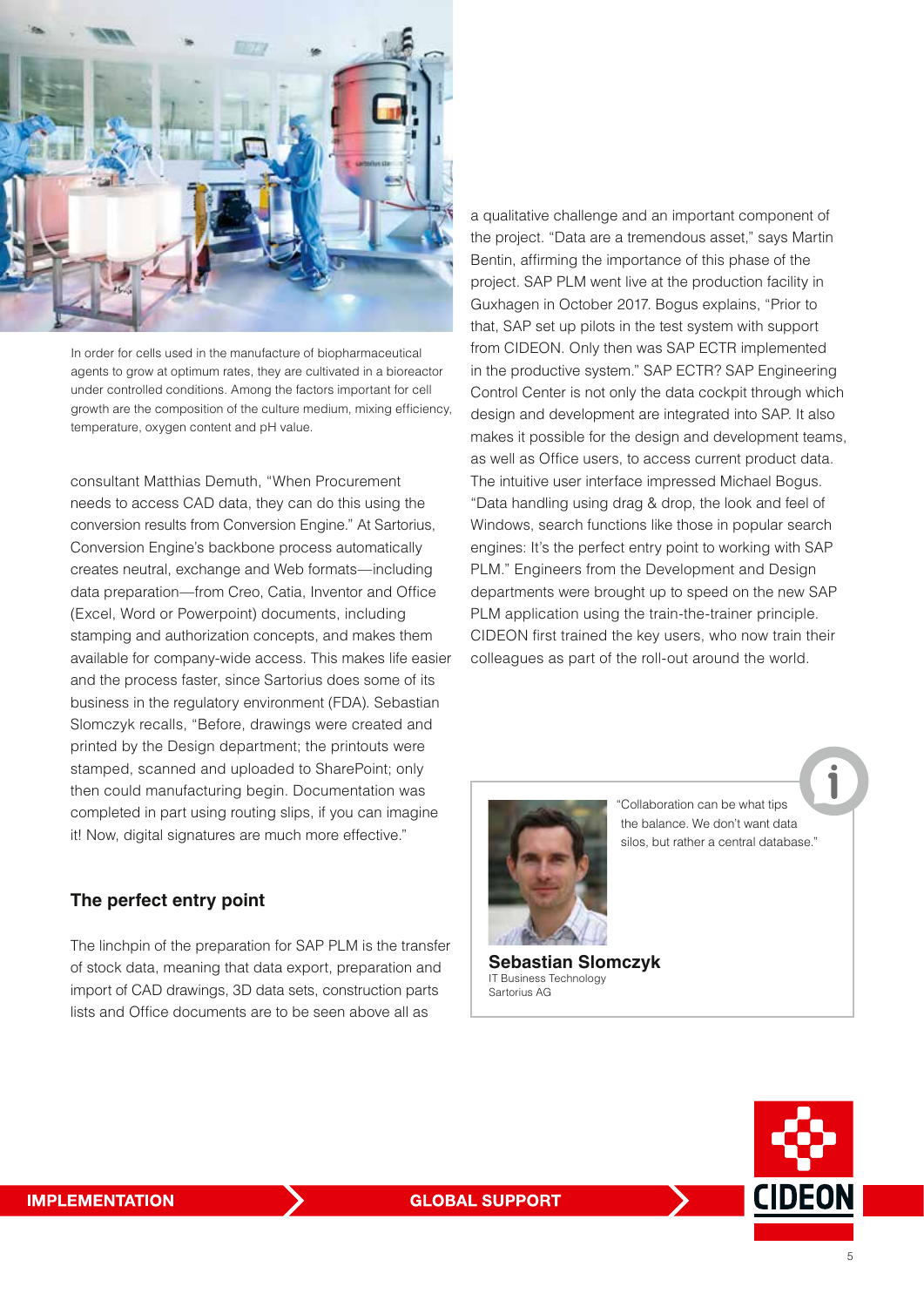

In order for cells used in the manufacture of biopharmaceutical agents to grow at optimum rates, they are cultivated in a bioreactor under controlled conditions. Among the factors important for cell growth are the composition of the culture medium, mixing efficiency, temperature, oxygen content and pH value.

consultant Matthias Demuth, "When Procurement needs to access CAD data, they can do this using the conversion results from Conversion Engine." At Sartorius, Conversion Engine's backbone process automatically creates neutral, exchange and Web formats—including data preparation—from Creo, Catia, Inventor and Office (Excel, Word or Powerpoint) documents, including stamping and authorization concepts, and makes them available for company-wide access. This makes life easier and the process faster, since Sartorius does some of its business in the regulatory environment (FDA). Sebastian Slomczyk recalls, "Before, drawings were created and printed by the Design department; the printouts were stamped, scanned and uploaded to SharePoint; only then could manufacturing begin. Documentation was completed in part using routing slips, if you can imagine it! Now, digital signatures are much more effective."

#### **The perfect entry point**

The linchpin of the preparation for SAP PLM is the transfer of stock data, meaning that data export, preparation and import of CAD drawings, 3D data sets, construction parts lists and Office documents are to be seen above all as

a qualitative challenge and an important component of the project. "Data are a tremendous asset," says Martin Bentin, affirming the importance of this phase of the project. SAP PLM went live at the production facility in Guxhagen in October 2017. Bogus explains, "Prior to that, SAP set up pilots in the test system with support from CIDEON. Only then was SAP ECTR implemented in the productive system." SAP ECTR? SAP Engineering Control Center is not only the data cockpit through which design and development are integrated into SAP. It also makes it possible for the design and development teams, as well as Office users, to access current product data. The intuitive user interface impressed Michael Bogus. "Data handling using drag & drop, the look and feel of Windows, search functions like those in popular search engines: It's the perfect entry point to working with SAP PLM." Engineers from the Development and Design departments were brought up to speed on the new SAP PLM application using the train-the-trainer principle. CIDEON first trained the key users, who now train their colleagues as part of the roll-out around the world.



"Collaboration can be what tips the balance. We don't want data silos, but rather a central database."

**Sebastian Slomczyk** IT Business Technology Sartorius AG

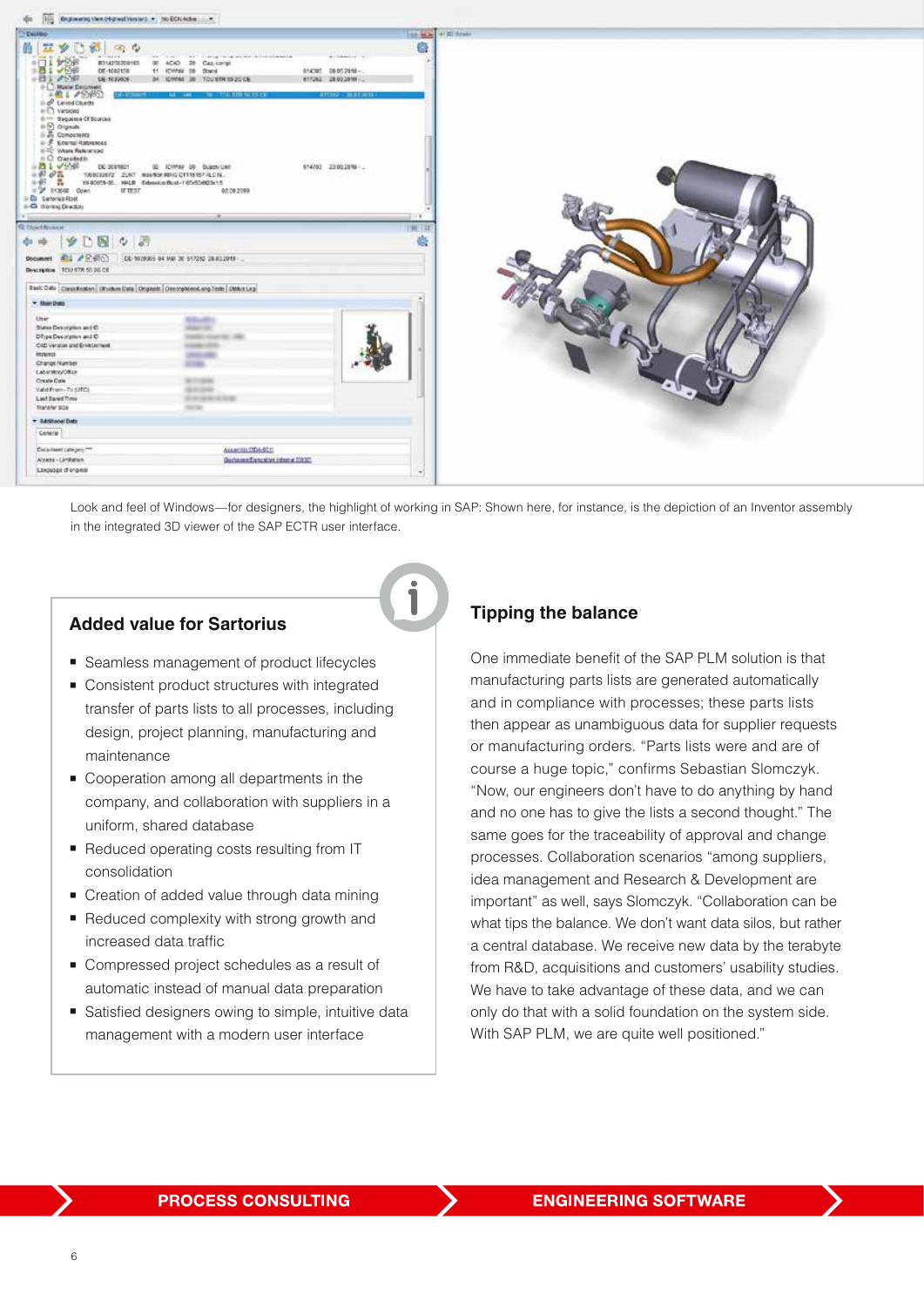

Look and feel of Windows—for designers, the highlight of working in SAP: Shown here, for instance, is the depiction of an Inventor assembly in the integrated 3D viewer of the SAP ECTR user interface.

#### **Added value for Sartorius**

- **Exercise** Seamless management of product lifecycles
- **Consistent product structures with integrated** transfer of parts lists to all processes, including design, project planning, manufacturing and maintenance
- Cooperation among all departments in the company, and collaboration with suppliers in a uniform, shared database
- Reduced operating costs resulting from IT consolidation
- Creation of added value through data mining
- Reduced complexity with strong growth and increased data traffic
- Compressed project schedules as a result of automatic instead of manual data preparation
- Satisfied designers owing to simple, intuitive data management with a modern user interface

#### **Tipping the balance**

One immediate benefit of the SAP PLM solution is that manufacturing parts lists are generated automatically and in compliance with processes; these parts lists then appear as unambiguous data for supplier requests or manufacturing orders. "Parts lists were and are of course a huge topic," confirms Sebastian Slomczyk. "Now, our engineers don't have to do anything by hand and no one has to give the lists a second thought." The same goes for the traceability of approval and change processes. Collaboration scenarios "among suppliers, idea management and Research & Development are important" as well, says Slomczyk. "Collaboration can be what tips the balance. We don't want data silos, but rather a central database. We receive new data by the terabyte from R&D, acquisitions and customers' usability studies. We have to take advantage of these data, and we can only do that with a solid foundation on the system side. With SAP PLM, we are quite well positioned."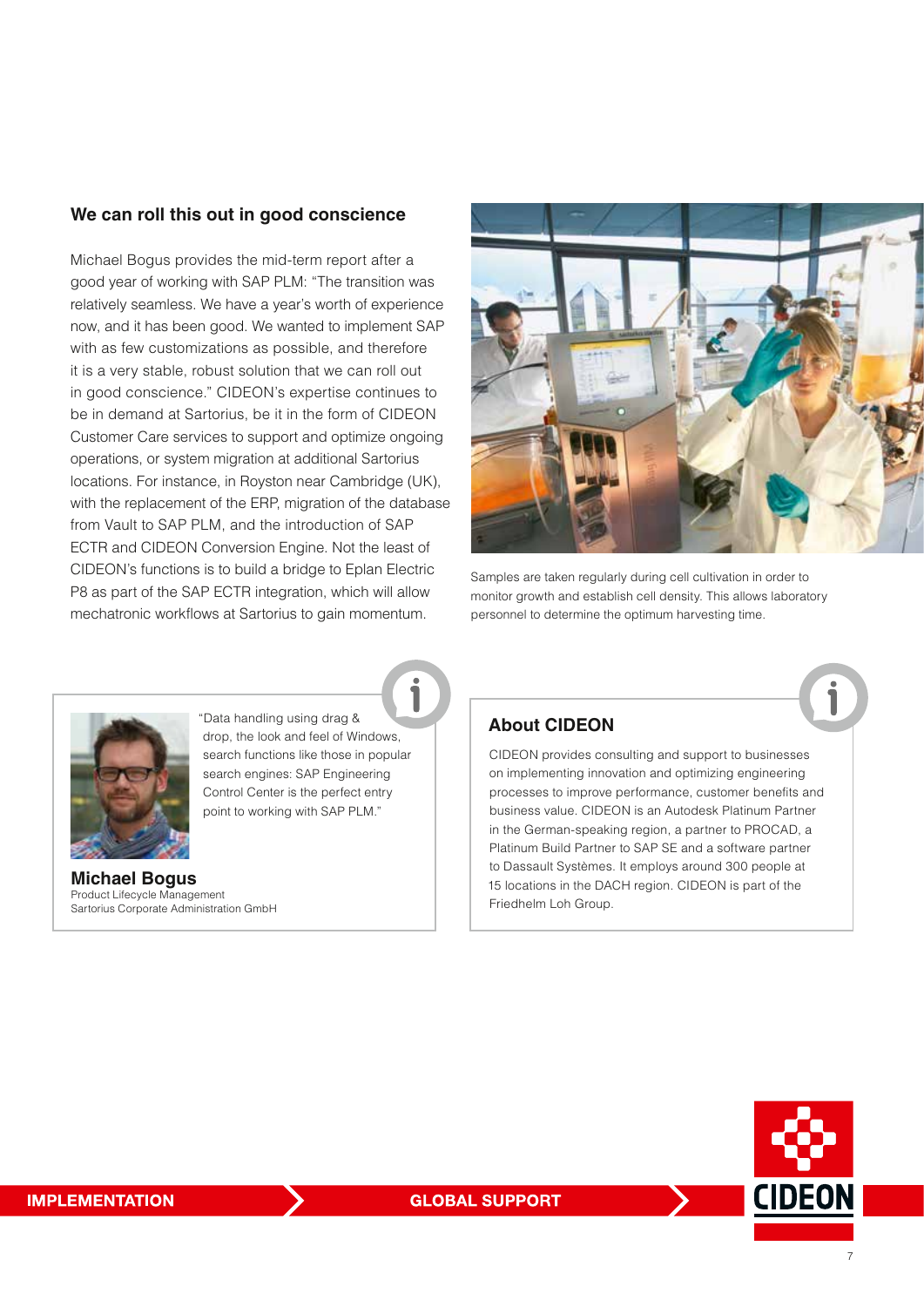#### **We can roll this out in good conscience**

Michael Bogus provides the mid-term report after a good year of working with SAP PLM: "The transition was relatively seamless. We have a year's worth of experience now, and it has been good. We wanted to implement SAP with as few customizations as possible, and therefore it is a very stable, robust solution that we can roll out in good conscience." CIDEON's expertise continues to be in demand at Sartorius, be it in the form of CIDEON Customer Care services to support and optimize ongoing operations, or system migration at additional Sartorius locations. For instance, in Royston near Cambridge (UK), with the replacement of the ERP, migration of the database from Vault to SAP PLM, and the introduction of SAP ECTR and CIDEON Conversion Engine. Not the least of CIDEON's functions is to build a bridge to Eplan Electric P8 as part of the SAP ECTR integration, which will allow mechatronic workflows at Sartorius to gain momentum.



Samples are taken regularly during cell cultivation in order to monitor growth and establish cell density. This allows laboratory personnel to determine the optimum harvesting time.



"Data handling using drag & drop, the look and feel of Windows, search functions like those in popular search engines: SAP Engineering Control Center is the perfect entry point to working with SAP PLM."

**Michael Bogus** Product Lifecycle Management Sartorius Corporate Administration GmbH



CIDEON provides consulting and support to businesses on implementing innovation and optimizing engineering processes to improve performance, customer benefits and business value. CIDEON is an Autodesk Platinum Partner in the German-speaking region, a partner to PROCAD, a Platinum Build Partner to SAP SE and a software partner to Dassault Systèmes. It employs around 300 people at 15 locations in the DACH region. CIDEON is part of the Friedhelm Loh Group.